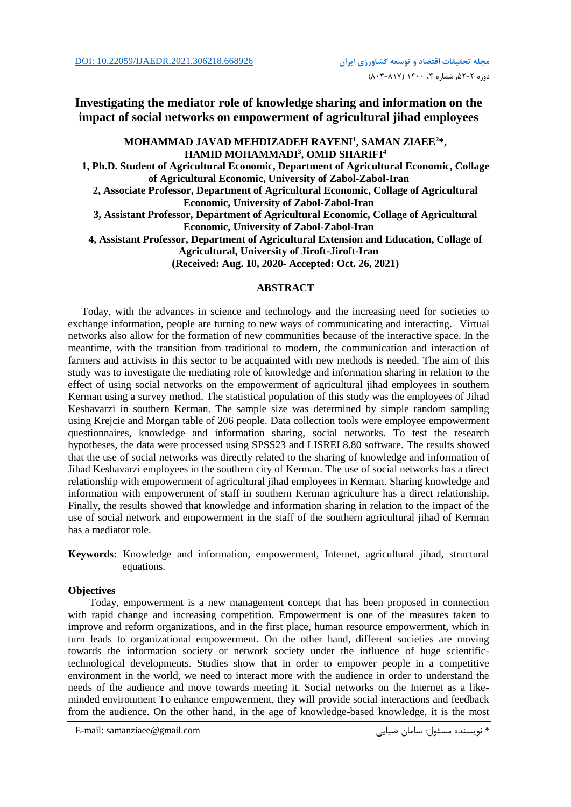## **Investigating the mediator role of knowledge sharing and information on the impact of social networks on empowerment of agricultural jihad employees**

## **MOHAMMAD JAVAD MEHDIZADEH RAYENI<sup>1</sup> , SAMAN ZIAEE<sup>2</sup>\*, HAMID MOHAMMADI<sup>3</sup> , OMID SHARIFI<sup>4</sup> 1, Ph.D. Student of Agricultural Economic, Department of Agricultural Economic, Collage of Agricultural Economic, University of Zabol-Zabol-Iran 2, Associate Professor, Department of Agricultural Economic, Collage of Agricultural Economic, University of Zabol-Zabol-Iran 3, Assistant Professor, Department of Agricultural Economic, Collage of Agricultural Economic, University of Zabol-Zabol-Iran 4, Assistant Professor, Department of Agricultural Extension and Education, Collage of Agricultural, University of Jiroft-Jiroft-Iran (Received: Aug. 10, 2020- Accepted: Oct. 26, 2021)**

## **ABSTRACT**

Today, with the advances in science and technology and the increasing need for societies to exchange information, people are turning to new ways of communicating and interacting. Virtual networks also allow for the formation of new communities because of the interactive space. In the meantime, with the transition from traditional to modern, the communication and interaction of farmers and activists in this sector to be acquainted with new methods is needed. The aim of this study was to investigate the mediating role of knowledge and information sharing in relation to the effect of using social networks on the empowerment of agricultural jihad employees in southern Kerman using a survey method. The statistical population of this study was the employees of Jihad Keshavarzi in southern Kerman. The sample size was determined by simple random sampling using Krejcie and Morgan table of 206 people. Data collection tools were employee empowerment questionnaires, knowledge and information sharing, social networks. To test the research hypotheses, the data were processed using SPSS23 and LISREL8.80 software. The results showed that the use of social networks was directly related to the sharing of knowledge and information of Jihad Keshavarzi employees in the southern city of Kerman. The use of social networks has a direct relationship with empowerment of agricultural jihad employees in Kerman. Sharing knowledge and information with empowerment of staff in southern Kerman agriculture has a direct relationship. Finally, the results showed that knowledge and information sharing in relation to the impact of the use of social network and empowerment in the staff of the southern agricultural jihad of Kerman has a mediator role.

**Keywords:** Knowledge and information, empowerment, Internet, agricultural jihad, structural equations.

### **Objectives**

 Today, empowerment is a new management concept that has been proposed in connection with rapid change and increasing competition. Empowerment is one of the measures taken to improve and reform organizations, and in the first place, human resource empowerment, which in turn leads to organizational empowerment. On the other hand, different societies are moving towards the information society or network society under the influence of huge scientifictechnological developments. Studies show that in order to empower people in a competitive environment in the world, we need to interact more with the audience in order to understand the needs of the audience and move towards meeting it. Social networks on the Internet as a likeminded environment To enhance empowerment, they will provide social interactions and feedback from the audience. On the other hand, in the age of knowledge-based knowledge, it is the most

E-mail: samanziaee@gmail.com ضیايی سامان :مسئول نويسنده\*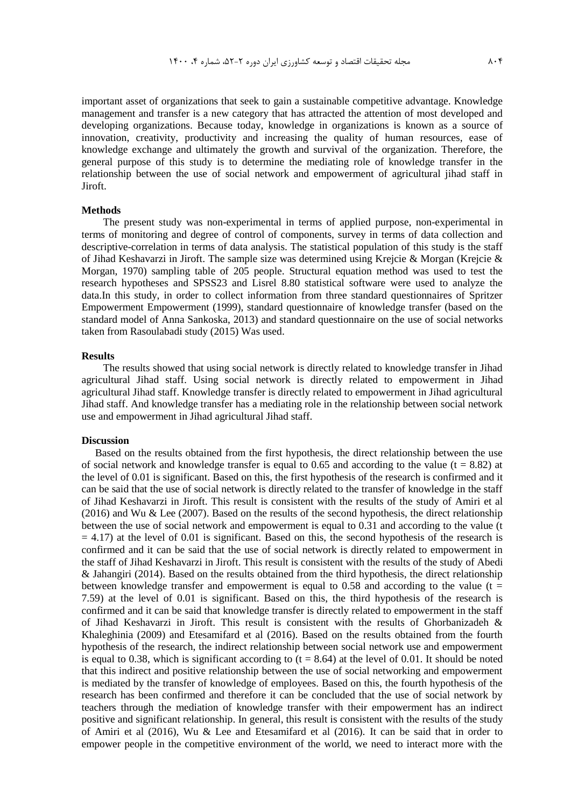important asset of organizations that seek to gain a sustainable competitive advantage. Knowledge management and transfer is a new category that has attracted the attention of most developed and developing organizations. Because today, knowledge in organizations is known as a source of innovation, creativity, productivity and increasing the quality of human resources, ease of knowledge exchange and ultimately the growth and survival of the organization. Therefore, the general purpose of this study is to determine the mediating role of knowledge transfer in the relationship between the use of social network and empowerment of agricultural jihad staff in Jiroft.

#### **Methods**

 The present study was non-experimental in terms of applied purpose, non-experimental in terms of monitoring and degree of control of components, survey in terms of data collection and descriptive-correlation in terms of data analysis. The statistical population of this study is the staff of Jihad Keshavarzi in Jiroft. The sample size was determined using Krejcie & Morgan (Krejcie & Morgan, 1970) sampling table of 205 people. Structural equation method was used to test the research hypotheses and SPSS23 and Lisrel 8.80 statistical software were used to analyze the data.In this study, in order to collect information from three standard questionnaires of Spritzer Empowerment Empowerment (1999), standard questionnaire of knowledge transfer (based on the standard model of Anna Sankoska, 2013) and standard questionnaire on the use of social networks taken from Rasoulabadi study (2015) Was used.

#### **Results**

 The results showed that using social network is directly related to knowledge transfer in Jihad agricultural Jihad staff. Using social network is directly related to empowerment in Jihad agricultural Jihad staff. Knowledge transfer is directly related to empowerment in Jihad agricultural Jihad staff. And knowledge transfer has a mediating role in the relationship between social network use and empowerment in Jihad agricultural Jihad staff.

#### **Discussion**

Based on the results obtained from the first hypothesis, the direct relationship between the use of social network and knowledge transfer is equal to 0.65 and according to the value ( $t = 8.82$ ) at the level of 0.01 is significant. Based on this, the first hypothesis of the research is confirmed and it can be said that the use of social network is directly related to the transfer of knowledge in the staff of Jihad Keshavarzi in Jiroft. This result is consistent with the results of the study of Amiri et al (2016) and Wu & Lee (2007). Based on the results of the second hypothesis, the direct relationship between the use of social network and empowerment is equal to 0.31 and according to the value (t  $= 4.17$ ) at the level of 0.01 is significant. Based on this, the second hypothesis of the research is confirmed and it can be said that the use of social network is directly related to empowerment in the staff of Jihad Keshavarzi in Jiroft. This result is consistent with the results of the study of Abedi & Jahangiri (2014). Based on the results obtained from the third hypothesis, the direct relationship between knowledge transfer and empowerment is equal to 0.58 and according to the value (t  $=$ 7.59) at the level of 0.01 is significant. Based on this, the third hypothesis of the research is confirmed and it can be said that knowledge transfer is directly related to empowerment in the staff of Jihad Keshavarzi in Jiroft. This result is consistent with the results of Ghorbanizadeh & Khaleghinia (2009) and Etesamifard et al (2016). Based on the results obtained from the fourth hypothesis of the research, the indirect relationship between social network use and empowerment is equal to 0.38, which is significant according to  $(t = 8.64)$  at the level of 0.01. It should be noted that this indirect and positive relationship between the use of social networking and empowerment is mediated by the transfer of knowledge of employees. Based on this, the fourth hypothesis of the research has been confirmed and therefore it can be concluded that the use of social network by teachers through the mediation of knowledge transfer with their empowerment has an indirect positive and significant relationship. In general, this result is consistent with the results of the study of Amiri et al (2016), Wu & Lee and Etesamifard et al (2016). It can be said that in order to empower people in the competitive environment of the world, we need to interact more with the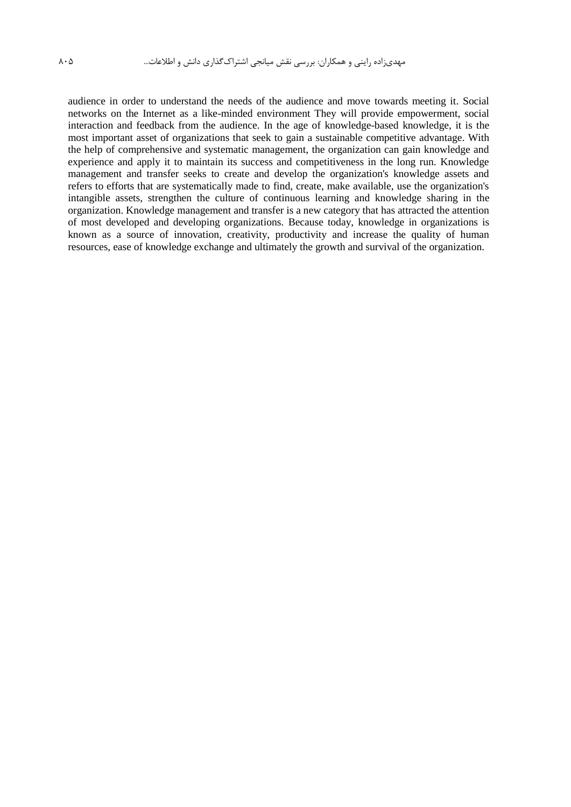audience in order to understand the needs of the audience and move towards meeting it. Social networks on the Internet as a like-minded environment They will provide empowerment, social interaction and feedback from the audience. In the age of knowledge-based knowledge, it is the most important asset of organizations that seek to gain a sustainable competitive advantage. With the help of comprehensive and systematic management, the organization can gain knowledge and experience and apply it to maintain its success and competitiveness in the long run. Knowledge management and transfer seeks to create and develop the organization's knowledge assets and refers to efforts that are systematically made to find, create, make available, use the organization's intangible assets, strengthen the culture of continuous learning and knowledge sharing in the organization. Knowledge management and transfer is a new category that has attracted the attention of most developed and developing organizations. Because today, knowledge in organizations is known as a source of innovation, creativity, productivity and increase the quality of human resources, ease of knowledge exchange and ultimately the growth and survival of the organization.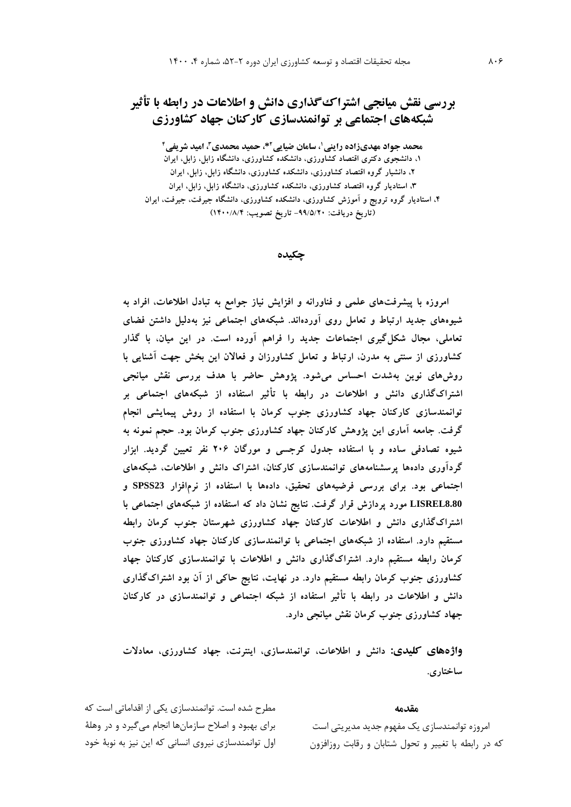# **بررسی نقش میانجی اشتراکگذاری دانش و اطالعات در رابطه با تأثیر شبکههای اجتماعی بر توانمندسازی کارکنان جهاد کشاورزی**

**، سامان ضیایی <sup>1</sup> محمد جواد مهدیزاده راینی \*، حمید محمدی <sup>2</sup> ، امید شریفی <sup>3</sup> 4 ،1 دانشجوی دکتری اقتصاد کشاورزی، دانشکده کشاورزی، دانشگاه زابل، زابل، ایران ،2 دانشیار گروه اقتصاد کشاورزی، دانشکده کشاورزی، دانشگاه زابل، زابل، ایران ،3 استادیار گروه اقتصاد کشاورزی، دانشکده کشاورزی، دانشگاه زابل، زابل، ایران ،4 استادیار گروه ترویج و آموزش کشاورزی، دانشکده کشاورزی، دانشگاه جیرفت، جیرفت، ایران )تاریخ دریافت: -99/5/20 تاریخ تصویب: 1400/8/4(**

**چکیده**

**امروزه با پیشرفتهای علمی و فناورانه و افزایش نیاز جوامع به تبادل اطالعات، افراد به شیوههای جدید ارتباط و تعامل روی آوردهاند. شبکههای اجتماعی نیز بهدلیل داشتن فضای تعاملی، مجال شکلگیری اجتماعات جدید را فراهم آورده است. در این میان، با گذار کشاورزی از سنتی به مدرن، ارتباط و تعامل کشاورزان و فعاالن این بخش جهت آشنایی با روشهای نوین بهشدت احساس میشود. پژوهش حاضر با هدف بررسی نقش میانجی اشتراکگذاری دانش و اطالعات در رابطه با تأثیر استفاده از شبکههای اجتماعی بر توانمندسازی کارکنان جهاد کشاورزی جنوب کرمان با استفاده از روش پیمایشی انجام گرفت. جامعه آماری این پژوهش کارکنان جهاد کشاورزی جنوب کرمان بود. حجم نمونه به شیوه تصادفی ساده و با استفاده جدول کرجسی و مورگان 206 نفر تعیین گردید. ابزار گردآوری دادهها پرسشنامههای توانمندسازی کارکنان، اشتراک دانش و اطالعات، شبکههای اجتماعی بود. برای بررسی فرضیههای تحقیق، دادهها با استفاده از نرمافزار 23SPSS و 8.80LISREL مورد پردازش قرار گرفت. نتایج نشان داد که استفاده از شبکههای اجتماعی با اشتراکگذاری دانش و اطالعات کارکنان جهاد کشاورزی شهرستان جنوب کرمان رابطه مستقیم دارد. استفاده از شبکههای اجتماعی با توانمندسازی کارکنان جهاد کشاورزی جنوب کرمان رابطه مستقیم دارد. اشتراکگذاری دانش و اطالعات با توانمندسازی کارکنان جهاد کشاورزی جنوب کرمان رابطه مستقیم دارد. در نهایت، نتایج حاکی از آن بود اشتراکگذاری دانش و اطالعات در رابطه با تأثیر استفاده از شبکه اجتماعی و توانمندسازی در کارکنان جهاد کشاورزی جنوب کرمان نقش میانجی دارد.**

**واژههای کلیدی: دانش و اطالعات، توانمندسازی، اینترنت، جهاد کشاورزی، معادالت ساختاری.**

#### **مقدمه**

امروزه توانمندسازي يك مفهوم جديد مديريتی است که در رابطه با تغییر و تحول شتابان و رقابت روزافزون

مطرح شده است. توانمندسازي يکی از اقداماتی است که براي بهبود و اصالح سازمانها انجام میگیرد و در وهلة اول توانمندسازي نیروي انسانی که اين نیز به نوبة خود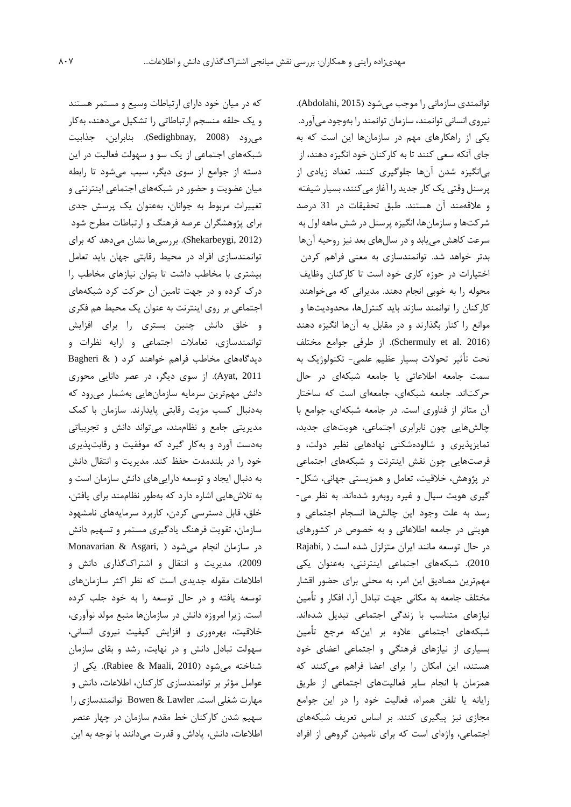که در میان خود داراي ارتباطات وسیع و مستمر هستند و يك حلقه منسجم ارتباطاتی را تشکیل میدهند، بهکار میرود )2008 ,Sedighbnay). بنابراين، جذابیت شبکههاي اجتماعی از يك سو و سهولت فعالیت در اين دسته از جوامع از سوي ديگر، سبب میشود تا رابطه میان عضويت و حضور در شبکههاي اجتماعی اينترنتی و تغییرات مربوط به جوانان، بهعنوان يك پرسش جدي براي پژوهشگران عرصه فرهنگ و ارتباطات مطرح شود )2012 ,Shekarbeygi). بررسیها نشان میدهد که براي توانمندسازي افراد در محیط رقابتی جهان بايد تعامل بیشتري با مخاطب داشت تا بتوان نیازهاي مخاطب را درک کرده و در جهت تامین آن حرکت کرد شبکههاي اجتماعی بر روي اينترنت به عنوان يك محیط هم فکري و خلق دانش چنین بستري را براي افزايش توانمندسازي، تعامالت اجتماعی و ارايه نظرات و ديدگاههاي مخاطب فراهم خواهند کرد ) & Bagheri 2011 ,Ayat). از سوي ديگر، در عصر دانايی محوري دانش مهمترين سرمايه سازمانهايی بهشمار میرود که بهدنبال کسب مزيت رقابتی پايدارند. سازمان با کمك مديريتی جامع و نظاممند، میتواند دانش و تجربیاتی بهدست آورد و بهکار گیرد که موفقیت و رقابتپذيري خود را در بلندمدت حفظ کند. مديريت و انتقال دانش به دنبال ايجاد و توسعه دارايیهاي دانش سازمان است و به تالشهايی اشاره دارد که بهطور نظاممند براي يافتن، خلق، قابل دسترسی کردن، کاربرد سرمايههاي نامشهود سازمان، تقويت فرهنگ يادگیري مستمر و تسهیم دانش در سازمان انجام میشود ( Monavarian & Asgari, 2009(. مديريت و انتقال و اشتراکگذاري دانش و اطالعات مقوله جديدي است که نظر اکثر سازمانهاي توسعه يافته و در حال توسعه را به خود جلب کرده است. زيرا امروزه دانش در سازمانها منبع مولد نوآوري، خالقیت، بهرهوري و افزايش کیفیت نیروي انسانی، سهولت تبادل دانش و در نهايت، رشد و بقاي سازمان شناخته میشود )2010 ,Maali & Rabiee). يکی از عوامل مؤثر بر توانمندسازي کارکنان، اطالعات، دانش و مهارت شغلی است. Lawler & Bowen توانمندسازي را سهیم شدن کارکنان خط مقدم سازمان در چهار عنصر اطالعات، دانش، پاداش و قدرت میدانند با توجه به اين

توانمندي سازمانی را موجب میشود )2015 ,Abdolahi). نیروي انسانی توانمند، سازمان توانمند را بهوجودمیآورد. يکی از راهکارهاي مهم در سازمانها اين است که به جاي آنکه سعی کنند تا به کارکنان خود انگیزه دهند، از بیانگیزه شدن آنها جلوگیري کنند. تعداد زيادي از پرسنل وقتی يك کار جديد را آغاز میکنند، بسیار شیفته و عالقهمند آن هستند. طبق تحقیقات در 31 درصد شرکتها و سازمانها، انگیزه پرسنل در شش ماهه اول به سرعت کاهش میيابد و در سالهاي بعد نیز روحیه آنها بدتر خواهد شد. توانمندسازي به معنی فراهم کردن اختیارات در حوزه کاري خود است تا کارکنان وظايف محوله را به خوبی انجام دهند. مديرانی که میخواهند کارکنان را توانمند سازند بايد کنترلها، محدوديتها و موانع را کنار بگذارند و در مقابل به آنها انگیزه دهند )2016 .al et Schermuly). از طرفی جوامع مختلف تحت تأثیر تحوالت بسیار عظیم علمی- تکنولوژيك به سمت جامعه اطالعاتی يا جامعه شبکهاي در حال حرکتاند. جامعه شبکهاي، جامعهاي است که ساختار آن متاثر از فناوري است. در جامعه شبکهاي، جوامع با چالشهايی چون نابرابري اجتماعی، هويتهاي جديد، تمايزپذيري و شالودهشکنی نهادهايی نظیر دولت، و فرصتهايی چون نقش اينترنت و شبکههاي اجتماعی در پژوهش، خالقیت، تعامل و همزيستی جهانی، شکل- گیري هويت سیال و غیره روبهرو شدهاند. به نظر می- رسد به علت وجود اين چالشها انسجام اجتماعی و هويتی در جامعه اطالعاتی و به خصوص در کشورهاي در حال توسعه مانند ايران متزلزل شده است ) ,Rajabi 2010(. شبکههاي اجتماعی اينترنتی، بهعنوان يکی مهمترين مصاديق اين امر، به محلی براي حضور اقشار مختلف جامعه به مکانی جهت تبادل آرا، افکار و تأمین نیازهاي متناسب با زندگی اجتماعی تبديل شدهاند. شبکههاي اجتماعی عالوه بر اينکه مرجع تأمین بسیاري از نیازهاي فرهنگی و اجتماعی اعضاي خود هستند، اين امکان را براي اعضا فراهم میکنند که همزمان با انجام ساير فعالیتهاي اجتماعی از طريق رايانه يا تلفن همراه، فعالیت خود را در اين جوامع مجازي نیز پیگیري کنند. بر اساس تعريف شبکههاي اجتماعی، واژهاي است که براي نامیدن گروهی از افراد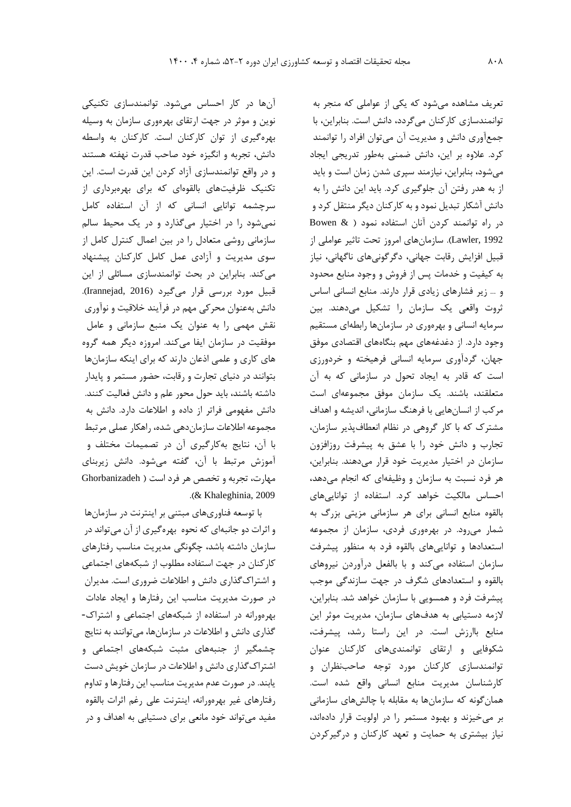آنها در کار احساس میشود. توانمندسازي تکنیکی نوين و موثر در جهت ارتقاي بهرهوري سازمان به وسیله بهرهگیري از توان کارکنان است. کارکنان به واسطه دانش، تجربه و انگیزه خود صاحب قدرت نهفته هستند و در واقع توانمندسازي آزاد کردن اين قدرت است. اين تکنیك ظرفیتهاي بالقوهاي که براي بهرهبرداري از سرچشمه توانايی انسانی که از آن استفاده کامل نمیشود را در اختیار میگذارد و در يك محیط سالم سازمانی روشی متعادل را در بین اعمال کنترل کامل از سوي مديريت و آزادي عمل کامل کارکنان پیشنهاد میکند. بنابراين در بحث توانمندسازي مسائلی از اين قبیل مورد بررسی قرار میگیرد )2016 ,Irannejad). دانش بهعنوان محرکی مهم در فرآيند خالقیت و نوآوري نقش مهمی را به عنوان يك منبع سازمانی و عامل موفقیت در سازمان ايفا میکند. امروزه ديگر همه گروه هاي کاري و علمی اذعان دارند که براي اينکه سازمانها بتوانند در دنیاي تجارت و رقابت، حضور مستمر و پايدار داشته باشند، بايد حول محور علم و دانش فعالیت کنند. دانش مفهومی فراتر از داده و اطالعات دارد. دانش به مجموعه اطالعات سازماندهی شده، راهکار عملی مرتبط با آن، نتايج بهکارگیري آن در تصمیمات مختلف و آموزش مرتبط با آن، گفته میشود. دانش زيربناي مهارت، تجربه و تخصص هر فرد است ) Ghorbanizadeh .)& Khaleghinia, 2009

با توسعه فناوريهاي مبتنی بر اينترنت در سازمانها و اثرات دو جانبهاي که نحوه بهرهگیري از آن میتواند در سازمان داشته باشد، چگونگی مديريت مناسب رفتارهاي کارکنان در جهت استفاده مطلوب از شبکههاي اجتماعی و اشتراکگذاري دانش و اطالعات ضروري است. مديران در صورت مديريت مناسب اين رفتارها و ايجاد عادات بهرهورانه در استفاده از شبکههاي اجتماعی و اشتراک- گذاري دانش و اطالعات در سازمانها، میتوانند به نتايج چشمگیر از جنبههاي مثبت شبکههاي اجتماعی و اشتراکگذاري دانش و اطالعات در سازمان خويش دست يابند. در صورت عدم مديريت مناسب اين رفتارها و تداوم رفتارهاي غیر بهرهورانه، اينترنت علی رغم اثرات بالقوه مفید میتواند خود مانعی براي دستیابی به اهداف و در

تعريف مشاهده میشود که يکی از عواملی که منجر به توانمندسازي کارکنان میگردد، دانش است. بنابراين، با جمعآوري دانش و مديريت آن میتوان افراد را توانمند کرد. عالوه بر اين، دانش ضمنی بهطور تدريجی ايجاد میشود، بنابراين، نیازمند سپري شدن زمان است و بايد از به هدر رفتن آن جلوگیري کرد. بايد اين دانش را به دانش آشکار تبديل نمود و به کارکنان ديگر منتقل کرد و در راه توانمند کردن آنان استفاده نمود ) & Bowen 1992 ,Lawler). سازمانهاي امروز تحت تاثیر عواملی از قبیل افزايش رقابت جهانی، دگرگونیهاي ناگهانی، نیاز به کیفیت و خدمات پس از فروش و وجود منابع محدود و ... زير فشارهاي زيادي قرار دارند. منابع انسانی اساس ثروت واقعی يك سازمان را تشکیل میدهند. بین سرمايه انسانی و بهرهوري در سازمانها رابطهاي مستقیم وجود دارد. از دغدغههاي مهم بنگاههاي اقتصادي موفق جهان، گردآوري سرمايه انسانی فرهیخته و خردورزي است که قادر به ايجاد تحول در سازمانی که به آن متعلقند، باشند. يك سازمان موفق مجموعهاي است مرکب از انسانهايی با فرهنگ سازمانی، انديشه و اهداف مشترک که با کار گروهی در نظام انعطافپذير سازمان، تجارب و دانش خود را با عشق به پیشرفت روزافزون سازمان در اختیار مديريت خود قرار میدهند. بنابراين، هر فرد نسبت به سازمان و وظیفهاي که انجام میدهد، احساس مالکیت خواهد کرد. استفاده از توانايیهاي بالقوه منابع انسانی براي هر سازمانی مزيتی بزرگ به شمار میرود. در بهرهوري فردي، سازمان از مجموعه استعدادها و توانايیهاي بالقوه فرد به منظور پیشرفت سازمان استفاده میکند و با بالفعل درآوردن نیروهاي بالقوه و استعدادهاي شگرف در جهت سازندگی موجب پیشرفت فرد و همسويی با سازمان خواهد شد. بنابراين، الزمه دستیابی به هدفهاي سازمان، مديريت موثر اين منابع باارزش است. در اين راستا رشد، پیشرفت، شکوفايی و ارتقاي توانمنديهاي کارکنان عنوان توانمندسازي کارکنان مورد توجه صاحبنظران و کارشناسان مديريت منابع انسانی واقع شده است. همانگونه که سازمانها به مقابله با چالشهاي سازمانی بر میخیزند و بهبود مستمر را در اولويت قرار دادهاند، نیاز بیشتري به حمايت و تعهد کارکنان و درگیرکردن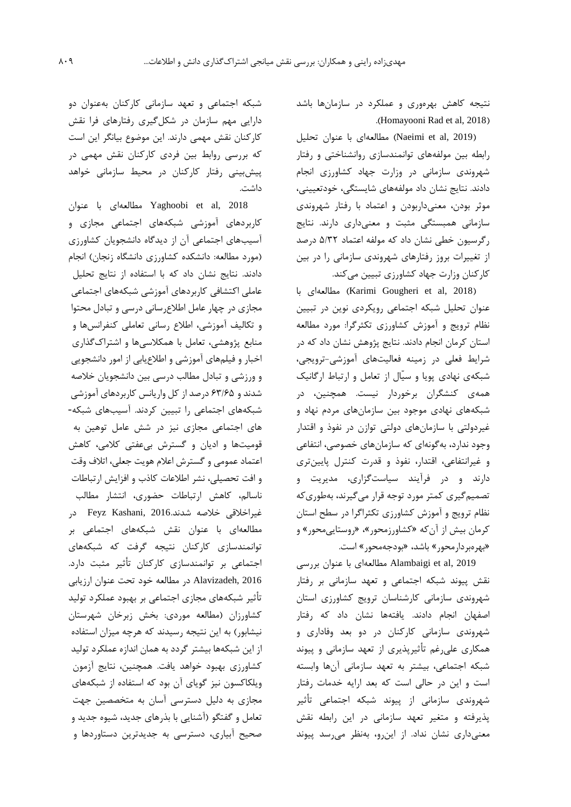نتیجه کاهش بهرهوري و عملکرد در سازمانها باشد .(Homayooni Rad et al, 2018)

)2019 ,al et Naeimi )مطالعهاي با عنوان تحلیل رابطه بین مولفههاي توانمندسازي روانشناختی و رفتار شهروندي سازمانی در وزارت جهاد کشاورزي انجام دادند. نتايج نشان داد مولفههاي شايستگی، خودتعیینی، موثر بودن، معنیداربودن و اعتماد با رفتار شهروندي سازمانی همبستگی مثبت و معنیداري دارند. نتايج رگرسیون خطی نشان داد که مولفه اعتماد 5/32 درصد از تغییرات بروز رفتارهاي شهروندي سازمانی را در بین کارکنان وزارت جهاد کشاورزي تبیین میکند.

 با مطالعهاي( Karimi Gougheri et al, 2018( عنوان تحلیل شبکه اجتماعی رويکردي نوين در تبیین نظام ترويج و آموزش کشاورزي تکثرگرا: مورد مطالعه استان کرمان انجام دادند. نتايج پژوهش نشان داد که در شرايط فعلی در زمینه فعالیتهاي آموزشی-ترويجی، شبکهي نهادي پويا و سیّال از تعامل و ارتباط ارگانیك همهي کنشگران برخوردار نیست. همچنین، در شبکههاي نهادي موجود بین سازمانهاي مردم نهاد و غیردولتی با سازمانهاي دولتی توازن در نفوذ و اقتدار وجود ندارد، بهگونهاي که سازمانهاي خصوصی، انتفاعی و غیرانتفاعی، اقتدار، نفوذ و قدرت کنترل پايینتري دارند و در فرآيند سیاستگزاري، مديريت و تصمیمگیري کمتر مورد توجه قرار میگیرند، بهطوريکه نظام ترويج و آموزش کشاورزي تکثراگرا در سطح استان کرمان بیش از آنکه »کشاورزمحور«، »روستايیمحور« و »بهرهبردارمحور« باشد، »بودجهمحور« است.

2019 ,al et Alambaigi مطالعهاي با عنوان بررسی نقش پیوند شبکه اجتماعی و تعهد سازمانی بر رفتار شهروندي سازمانی کارشناسان ترويج کشاورزي استان اصفهان انجام دادند. يافتهها نشان داد که رفتار شهروندي سازمانی کارکنان در دو بعد وفاداري و همکاري علیرغم تأثیرپذيري از تعهد سازمانی و پیوند شبکه اجتماعی، بیشتر به تعهد سازمانی آنها وابسته است و اين در حالی است که بعد ارايه خدمات رفتار شهروندي سازمانی از پیوند شبکه اجتماعی تأثیر پذيرفته و متغیر تعهد سازمانی در اين رابطه نقش معنیداري نشان نداد. از اينرو، بهنظر میرسد پیوند

شبکه اجتماعی و تعهد سازمانی کارکنان بهعنوان دو دارايی مهم سازمان در شکلگیري رفتارهاي فرا نقش کارکنان نقش مهمی دارند. اين موضوع بیانگر اين است که بررسی روابط بین فردي کارکنان نقش مهمی در پیشبینی رفتار کارکنان در محیط سازمانی خواهد داشت.

2018 ,al et Yaghoobi مطالعهاي با عنوان کاربردهاي آموزشی شبکههاي اجتماعی مجازي و آسیبهاي اجتماعی آن از ديدگاه دانشجويان کشاورزي )مورد مطالعه: دانشکده کشاورزي دانشگاه زنجان( انجام دادند. نتايج نشان داد که با استفاده از نتايج تحلیل عاملی اکتشافی کاربردهاي آموزشی شبکههاي اجتماعی مجازي در چهار عامل اطالعرسانی درسی و تبادل محتوا و تکالیف آموزشی، اطالع رسانی تعاملی کنفرانسها و منابع پژوهشی، تعامل با همکالسیها و اشتراکگذاري اخبار و فیلمهاي آموزشی و اطالعيابی از امور دانشجويی و ورزشی و تبادل مطالب درسی بین دانشجويان خالصه شدند و 63/65 درصد از کل واريانس کاربردهاي آموزشی شبکههاي اجتماعی را تبیین کردند. آسیبهاي شبکه- هاي اجتماعی مجازي نیز در شش عامل توهین به قومیتها و اديان و گسترش بیعفتی کالمی، کاهش اعتماد عمومی و گسترش اعالم هويت جعلی، اتالف وقت و افت تحصیلی، نشر اطالعات کاذب و افزايش ارتباطات ناسالم، کاهش ارتباطات حضوري، انتشار مطالب غیراخلاقی خلاصه شدند.2016 Feyz Kashani, 20 مطالعهاي با عنوان نقش شبکههاي اجتماعی بر توانمندسازي کارکنان نتیجه گرفت که شبکههاي اجتماعی بر توانمندسازي کارکنان تأثیر مثبت دارد. 2016 ,Alavizadeh در مطالعه خود تحت عنوان ارزيابی تأثیر شبکههاي مجازي اجتماعی بر بهبود عملکرد تولید کشاورزان )مطالعه موردي: بخش زبرخان شهرستان نیشابور) به این نتیجه رسیدند که هرچه میزان استفاده از اين شبکهها بیشتر گردد به همان اندازه عملکرد تولید کشاورزي بهبود خواهد يافت. همچنین، نتايج آزمون ويلکاکسون نیز گوياي آن بود که استفاده از شبکههاي مجازي به دلیل دسترسی آسان به متخصصین جهت تعامل و گفتگو (آشنايی با بذرهای جديد، شیوه جديد و صحیح آبیاري، دسترسی به جديدترين دستاوردها و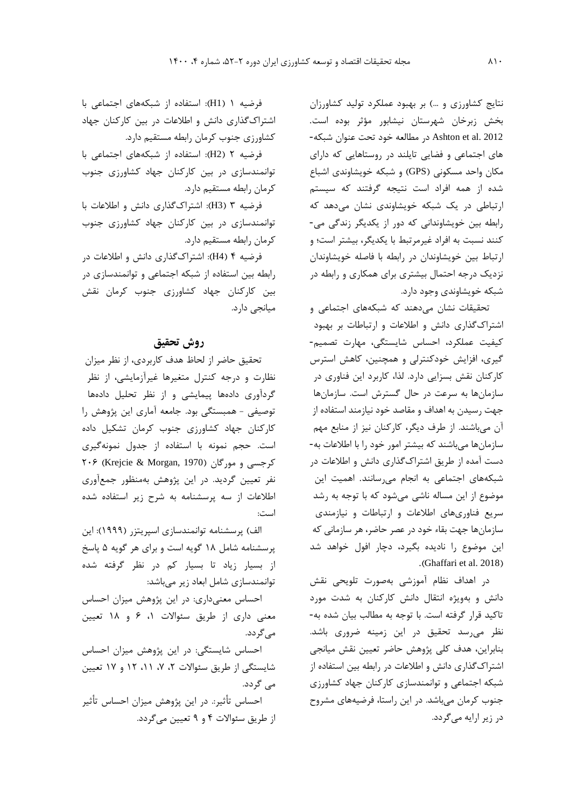نتايج کشاورزي و ...( بر بهبود عملکرد تولید کشاورزان بخش زبرخان شهرستان نیشابور مؤثر بوده است. <sup>2012</sup> .al et Ashton در مطالعه خود تحت عنوان شبکه- هاي اجتماعی و فضايی تايلند در روستاهايی که داراي مکان واحد مسکونی )GPS )و شبکه خويشاوندي اشباع شده از همه افراد است نتیجه گرفتند که سیستم ارتباطی در يك شبکه خويشاوندي نشان میدهد که رابطه بین خويشاوندانی که دور از يکديگر زندگی می- کنند نسبت به افراد غیرمرتبط با يکديگر، بیشتر است؛ و ارتباط بین خويشاوندان در رابطه با فاصله خويشاوندان نزديك درجه احتمال بیشتري براي همکاري و رابطه در شبکه خويشاوندي وجود دارد.

تحقیقات نشان میدهند که شبکههاي اجتماعی و اشتراکگذاري دانش و اطالعات و ارتباطات بر بهبود کیفیت عملکرد، احساس شايستگی، مهارت تصمیم- گیري، افزايش خودکنترلی و همچنین، کاهش استرس کارکنان نقش بسزايی دارد. لذا، کاربرد اين فناوري در سازمانها به سرعت در حال گسترش است. سازمانها جهت رسیدن به اهداف و مقاصد خود نیازمند استفاده از آن میباشند. از طرف ديگر، کارکنان نیز از منابع مهم سازمانها میباشند که بیشتر امور خود را با اطالعات به- دست آمده از طريق اشتراکگذاري دانش و اطالعات در شبکههاي اجتماعی به انجام میرسانند. اهمیت اين موضوع از اين مساله ناشی میشود که با توجه به رشد سريع فناوريهاي اطالعات و ارتباطات و نیازمندي سازمانها جهت بقاء خود در عصر حاضر، هر سازمانی که اين موضوع را ناديده بگیرد، دچار افول خواهد شد .(Ghaffari et al. 2018)

در اهداف نظام آموزشی بهصورت تلويحی نقش دانش و بهويژه انتقال دانش کارکنان به شدت مورد تاکید قرار گرفته است. با توجه به مطالب بیان شده به- نظر میرسد تحقیق در اين زمینه ضروري باشد. بنابراين، هدف کلی پژوهش حاضر تعیین نقش میانجی اشتراکگذاري دانش و اطالعات در رابطه بین استفاده از شبکه اجتماعی و توانمندسازي کارکنان جهاد کشاورزي جنوب کرمان میباشد. در اين راستا، فرضیههاي مشروح در زير ارايه میگردد.

فرضیه 1 )1H): استفاده از شبکههاي اجتماعی با اشتراکگذاري دانش و اطالعات در بین کارکنان جهاد کشاورزي جنوب کرمان رابطه مستقیم دارد.

فرضیه 2 )2H): استفاده از شبکههاي اجتماعی با توانمندسازي در بین کارکنان جهاد کشاورزي جنوب کرمان رابطه مستقیم دارد.

فرضیه 3 )3H): اشتراکگذاري دانش و اطالعات با توانمندسازي در بین کارکنان جهاد کشاورزي جنوب کرمان رابطه مستقیم دارد.

فرضیه 4 )4H): اشتراکگذاري دانش و اطالعات در رابطه بین استفاده از شبکه اجتماعی و توانمندسازي در بین کارکنان جهاد کشاورزي جنوب کرمان نقش میانجی دارد.

## **روش تحقیق**

تحقیق حاضر از لحاظ هدف کاربردي، از نظر میزان نظارت و درجه کنترل متغیرها غیرآزمايشی، از نظر گردآوري دادهها پیمايشی و از نظر تحلیل دادهها توصیفی - همبستگی بود. جامعه آماري اين پژوهش را کارکنان جهاد کشاورزي جنوب کرمان تشکیل داده است. حجم نمونه با استفاده از جدول نمونهگیري کرجسی و مورگان (1970 Krejcie & Morgan, 1970) ۲۰۶ نفر تعیین گرديد. در اين پژوهش بهمنظور جمعآوري اطالعات از سه پرسشنامه به شرح زير استفاده شده است:

الف) پرسشنامه توانمندسازي اسپريتزر (١٩٩٩): اين پرسشنامه شامل 18 گويه است و براي هر گويه 5 پاسخ از بسیار زياد تا بسیار کم در نظر گرفته شده توانمندسازي شامل ابعاد زير میباشد:

احساس معنیداري: در اين پژوهش میزان احساس معنی داري از طريق سئواالت ،1 6 و 18 تعیین میگردد.

احساس شايستگی: در اين پژوهش میزان احساس شايستگی از طريق سئواالت ،2 ،7 ،11 12 و 17 تعیین می گردد. احساس تأثیر.: در اين پژوهش میزان احساس تأثیر از طريق سئواالت 4 و 9 تعیین میگردد.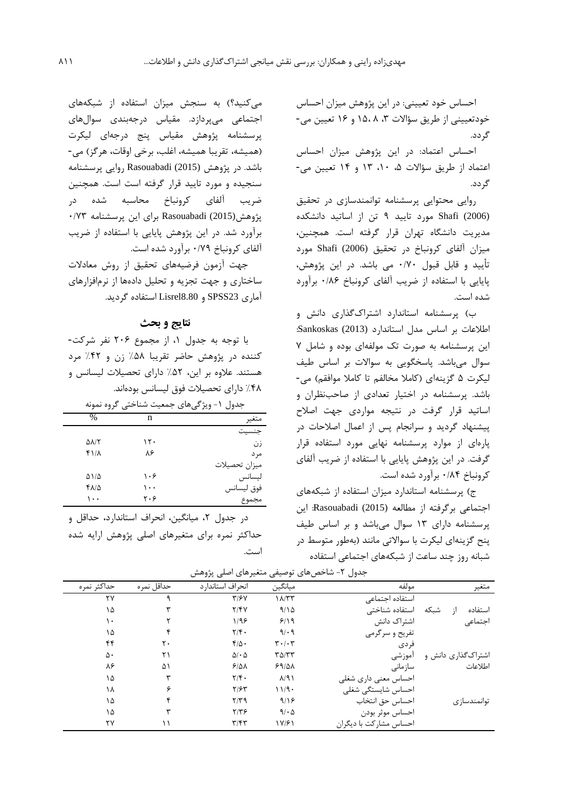احساس خود تعیینی: در اين پژوهش میزان احساس خودتعیینی از طريق سؤالات ۳، ۱۵،۸ و ۱۶ تعیین می-گردد.

احساس اعتماد: در اين پژوهش میزان احساس اعتماد از طريق سؤاالت ،5 ،10 13 و 14 تعیین می- گردد.

روايی محتوايی پرسشنامه توانمندسازي در تحقیق (2006) Shafi مورد تايید 9 تن از اساتید دانشکده مديريت دانشگاه تهران قرار گرفته است. همچنین، میزان آلفاي کرونباخ در تحقیق (2006) Shafi مورد تأيید و قابل قبول 0/70 می باشد. در اين پژوهش، پايايی با استفاده از ضريب آلفاي کرونباخ 0/86 برآورد شده است.

ب( پرسشنامه استاندارد اشتراکگذاري دانش و اطالعات بر اساس مدل استاندارد (2013) Sankoskas: اين پرسشنامه به صورت تك مولفهاي بوده و شامل 7 سوال میباشد. پاسخگويی به سواالت بر اساس طیف لیکرت ۵ گزینهای (کاملا مخالفم تا کاملا موافقم) می-باشد. پرسشنامه در اختیار تعدادي از صاحبنظران و اساتید قرار گرفت در نتیجه مواردي جهت اصالح پیشنهاد گرديد و سرانجام پس از اعمال اصالحات در پارهاي از موارد پرسشنامه نهايی مورد استفاده قرار گرفت. در اين پژوهش پايايی با استفاده از ضريب آلفاي کرونباخ 0/84 برآورد شده است.

ج) پرسشنامه استاندارد میزان استفاده از شبکههای اجتماعی برگرفته از مطالعه (2015) Rasouabadi: اين پرسشنامه داراي 13 سوال میباشد و بر اساس طیف پنح گزينهاي لیکرت با سواالتی مانند )بهطور متوسط در شبانه روز چند ساعت از شبکههاي اجتماعی استفاده

میکنید؟( به سنجش میزان استفاده از شبکههاي اجتماعی میپردازد. مقیاس درجهبندي سوالهاي پرسشنامه پژوهش مقیاس پنج درجهاي لیکرت )همیشه، تقريبا همیشه، اغلب، برخی اوقات، هرگز( می- باشد. در پژوهش (2015) Rasouabadi روايی پرسشنامه سنجیده و مورد تايید قرار گرفته است است. همچنین ضريب آلفاي کرونباخ محاسبه شده در پژوهش(2015) Rasouabadi براي اين پرسشنامه 0/73 برآورد شد. در اين پژوهش پايايی با استفاده از ضريب آلفاي کرونباخ 0/79 برآورد شده است.

جهت آزمون فرضیههاي تحقیق از روش معادالت ساختاري و جهت تجزيه و تحلیل دادهها از نرمافزارهاي آماري 23SPSS و 8.80Lisrel استفاده گرديد.

## **نتایج و بحث**

با توجه به جدول ،1 از مجموع 206 نفر شرکت- کننده در پژوهش حاضر تقريبا %58 زن و %42 مرد هستند. عالوه بر اين، %52 داراي تحصیالت لیسانس و %48 داراي تحصیالت فوق لیسانس بودهاند.

جدول ۱- ویژگیهای جمعیت شناختی گروه نمونه

| $\frac{0}{0}$ | n   | متغير         |
|---------------|-----|---------------|
|               |     |               |
| ۵۸/۲          | ۱۲۰ | زن            |
| ۴۱/۸          | ۸۶  | مر د          |
|               |     | ميزان تحصيلات |
| ۵۱/۵          | ۱۰۶ | ليسانس        |
| 4815          | ۱۰۰ | فوق ليسانس    |
| ۱۰۰           | ۲۰۶ | مجموع         |

در جدول ۲، میانگین، انحراف استاندارد، حداقل و حداکثر نمره براي متغیرهاي اصلی پژوهش ارايه شده است.

| متغير              | مولفه                  | ميانگين                       | انحراف استاندار د         | حداقل نمره | حداكثر نمره |
|--------------------|------------------------|-------------------------------|---------------------------|------------|-------------|
|                    | استفاده اجتماعى        | $1\Lambda/TT$                 | T/FV                      |            | ۲۷          |
| شىكە<br>استفاده    | استفاده شناختی         | 9/10                          | Y/Y                       |            | ۱۵          |
| اجتماعي            | اشتراک دانش            | 9/19                          | 1/99                      |            | ۱۰          |
|                    | تفریح و سرگرمی         | 9/09                          | $\mathbf{Y}/\mathbf{F}$ . |            | ۱۵          |
|                    | فر دی                  | $\mathbf{r} \cdot \mathbf{r}$ | $f/\Delta$ .              | ٢٠         | ۴۴          |
| اشتراکگذاری دانش و | أموزشى                 | $T\Delta/TT$                  | $\Delta/\cdot \Delta$     | ۲۱         | ۵۰          |
| اطلاعات            | سازمانى                | 59/21                         | 5/21                      | ۵۱         | ۸۶          |
|                    | احساس معنى دارى شغلى   | $\lambda$ /9)                 | $\mathbf{Y}/\mathbf{F}$ . | ٣          | ۱۵          |
|                    | احساس شايستگى شغلى     | 11/9                          | $Y/\mathcal{F}Y$          | ۶          | ۱۸          |
| توانمندسازى        | احساس حق انتخاب        | 9/19                          | 7/79                      |            | ۱۵          |
|                    | احساس موثر بودن        | 9/60                          | 7/79                      |            | ۱۵          |
|                    | احساس مشاركت با ديگران | 17/۶1                         | $\mathbf{r}/\mathbf{r}$   |            | ٢٧          |

جدول ۲- شاخص های توصیفی متغیرهای اصلی پژوهش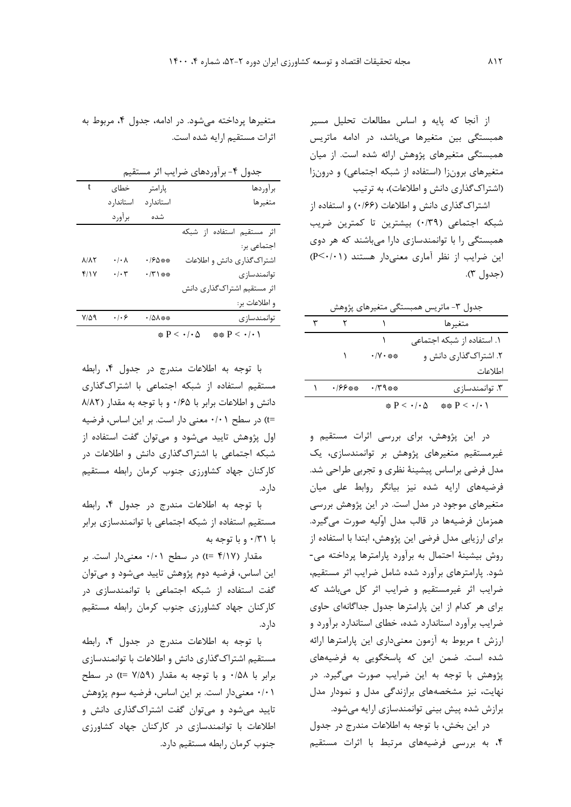از آنجا که پايه و اساس مطالعات تحلیل مسیر همبستگی بین متغیرها میباشد، در ادامه ماتريس همبستگی متغیرهاي پژوهش ارائه شده است. از میان متغیرهای برونزا (استفاده از شبکه اجتماعی) و درونزا (اشتراکگذاري دانش و اطلاعات)، به ترتيب

اشتراکگذاري دانش و اطلاعات (۱۶۶) و استفاده از شبکه اجتماعی )0/39( بیشترين تا کمترين ضريب همبستگی را با توانمندسازي دارا میباشند که هر دوي اين ضرايب از نظر آماري معنیدار هستند )0/01<P) )جدول 3(.

|                 |                                               | جدول ۳- ماتریس همبستگی متغیرهای پژوهش                    |  |
|-----------------|-----------------------------------------------|----------------------------------------------------------|--|
|                 |                                               | متغيرها                                                  |  |
|                 |                                               | ۱. استفاده از شبکه اجتماعی                               |  |
|                 | → /V • ※※                                     | ۲. اشتراک گذاری دانش و                                   |  |
|                 |                                               | اطلاعات                                                  |  |
| <i>・ 199 ※※</i> | $\cdot$ / $\mathcal{M}$ $\mathcal{N}$ $\cdot$ | ۳. توانمندسازی                                           |  |
|                 |                                               | $** P < \cdot \cdot \cdot$<br>$P < \cdot / \cdot \Delta$ |  |

در اين پژوهش، براي بررسی اثرات مستقیم و غیرمستقیم متغیرهاي پژوهش بر توانمندسازي، يك مدل فرضی براساس پیشینة نظري و تجربی طراحی شد. فرضیههاي ارايه شده نیز بیانگر روابط علی میان متغیرهاي موجود در مدل است. در اين پژوهش بررسی همزمان فرضیهها در قالب مدل اوّلیه صورت میگیرد. براي ارزيابی مدل فرضی اين پژوهش، ابتدا با استفاده از روش بیشینة احتمال به برآورد پارامترها پرداخته می- شود. پارامترهاي برآورد شده شامل ضرايب اثر مستقیم، ضرايب اثر غیرمستقیم و ضرايب اثر کل میباشد که براي هر کدام از اين پارامترها جدول جداگانهاي حاوي ضرايب برآورد استاندارد شده، خطاي استاندارد برآورد و ارزش t مربوط به آزمون معنیداري اين پارامترها ارائه شده است. ضمن اين که پاسخگويی به فرضیههاي پژوهش با توجه به اين ضرايب صورت میگیرد. در نهايت، نیز مشخصههاي برازندگی مدل و نمودار مدل برازش شده پیش بینی توانمندسازي ارايه میشود.

در اين بخش، با توجه به اطالعات مندرج در جدول ،4 به بررسی فرضیههاي مرتبط با اثرات مستقیم

متغیرها پرداخته میشود. در ادامه، جدول ،4 مربوط به اثرات مستقیم ارايه شده است.

|              |                                                                    |                 | جدول ۴- برآوردهای ضرایب اثر مستقیم                     |
|--------------|--------------------------------------------------------------------|-----------------|--------------------------------------------------------|
| t            | خطاى                                                               | پارامتر         | برآوردها                                               |
|              | استاندار د                                                         | استاندار د      | متغيرها                                                |
|              | برآورد                                                             | شده             |                                                        |
|              |                                                                    |                 | اثر مستقيم استفاده از شبكه                             |
|              |                                                                    |                 | اجتماعي بر:                                            |
| <b>A/AY</b>  | $\boldsymbol{\cdot}\, \boldsymbol{\cdot}\,\boldsymbol{\wedge}$     | * /۶۵**         | اشتراکگذاری دانش و اطلاعات                             |
| f/Y          | $\boldsymbol{\cdot}\,/\boldsymbol{\cdot}\, \boldsymbol{\curlyvee}$ | $\cdot$ /٣ \ ** | توانمندسازى                                            |
|              |                                                                    |                 | اثر مستقيم اشتراك گذارى دانش                           |
|              |                                                                    |                 | و اطلاعات بر:                                          |
| $Y/\Delta$ 9 | $\cdot$ / $\cdot$ $\epsilon$                                       | ·/۵۸**          | توانمندسازى                                            |
|              |                                                                    |                 | ** $P < \cdot / \cdot$ )<br>$P < \cdot / \cdot \Delta$ |

با توجه به اطالعات مندرج در جدول ،4 رابطه مستقیم استفاده از شبکه اجتماعی با اشتراکگذاري دانش و اطلاعات برابر با ۰/۶۵ و با توجه به مقدار (۸/۸۲ =t )در سطح 0/01 معنی دار است. بر اين اساس، فرضیه اول پژوهش تايید میشود و میتوان گفت استفاده از شبکه اجتماعی با اشتراکگذاري دانش و اطالعات در کارکنان جهاد کشاورزي جنوب کرمان رابطه مستقیم دارد.

با توجه به اطالعات مندرج در جدول ،4 رابطه مستقیم استفاده از شبکه اجتماعی با توانمندسازي برابر با 0/31 و با توجه به

مقدار )4/17 =t )در سطح 0/01 معنیدار است. بر اين اساس، فرضیه دوم پژوهش تايید میشود و میتوان گفت استفاده از شبکه اجتماعی با توانمندسازي در کارکنان جهاد کشاورزي جنوب کرمان رابطه مستقیم دارد.

با توجه به اطالعات مندرج در جدول ،4 رابطه مستقیم اشتراکگذاري دانش و اطالعات با توانمندسازي برابر با 0/58 و با توجه به مقدار )7/59 =t )در سطح 0/01 معنیدار است. بر اين اساس، فرضیه سوم پژوهش تايید میشود و میتوان گفت اشتراکگذاري دانش و اطالعات با توانمندسازي در کارکنان جهاد کشاورزي جنوب کرمان رابطه مستقیم دارد.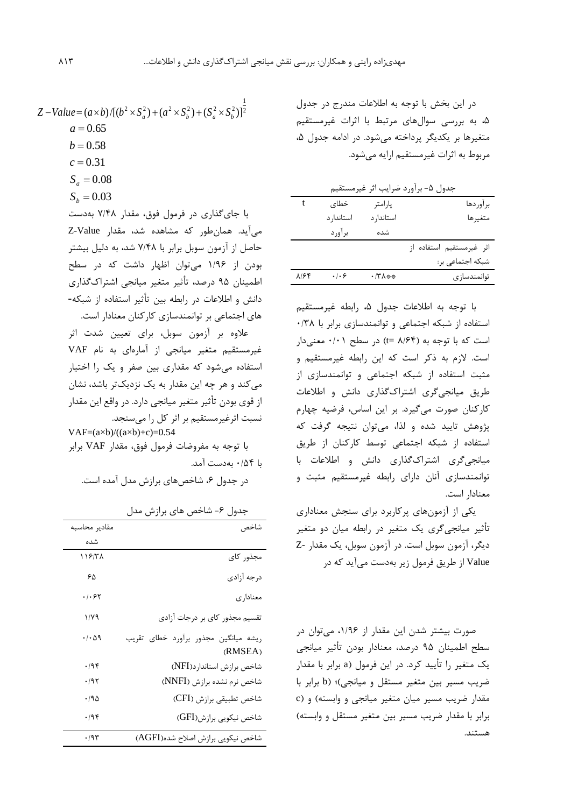در اين بخش با توجه به اطالعات مندرج در جدول ،5 به بررسی سوالهاي مرتبط با اثرات غیرمستقیم متغیرها بر يکديگر پرداخته میشود. در ادامه جدول ۵، مربوط به اثرات غیرمستقیم ارايه میشود.

|      |                     |            | جدول ۵- برآورد ضرايب اثر غيرمستقيم |
|------|---------------------|------------|------------------------------------|
|      | خطاى                | پارامتر    | بر آور دها                         |
|      | استاندار د          | استاندار د | متغيرها                            |
|      | برآورد              | شده        |                                    |
|      |                     |            | اثر غيرمستقيم استفاده از           |
|      |                     |            | شبکه اجتماعی بر:                   |
| A/Ff | $\cdot$ / $\cdot$ 6 | •/٣٨**     | توانمندساز ي                       |

با توجه به اطالعات جدول ،5 رابطه غیرمستقیم استفاده از شبکه اجتماعی و توانمندسازي برابر با 0/38 است که با توجه به (۴/۶۴ =t) در سطح ۰/۰۱ معنیدار است. الزم به ذکر است که اين رابطه غیرمستقیم و مثبت استفاده از شبکه اجتماعی و توانمندسازي از طريق میانجیگري اشتراکگذاري دانش و اطالعات کارکنان صورت میگیرد. بر اين اساس، فرضیه چهارم پژوهش تايید شده و لذا، میتوان نتیجه گرفت که استفاده از شبکه اجتماعی توسط کارکنان از طريق میانجیگري اشتراکگذاري دانش و اطالعات با توانمندسازي آنان داراي رابطه غیرمستقیم مثبت و معنادار است.

يکی از آزمونهاي پرکاربرد براي سنجش معناداري تأثیر میانجیگري يك متغیر در رابطه میان دو متغیر ديگر، آزمون سوبل است. در آزمون سوبل، يك مقدار -Z Value از طريق فرمول زير بهدست میآيد که در

صورت بیشتر شدن اين مقدار از ،1/96 میتوان در سطح اطمینان 95 درصد، معنادار بودن تأثیر میانجی يك متغیر را تأيید کرد. در اين فرمول )a برابر با مقدار ضريب مسیر بین متغیر مستقل و میانجی(؛ )b برابر با مقدار ضريب مسیر میان متغیر میانجی و وابسته( و )c برابر با مقدار ضريب مسیر بین متغیر مستقل و وابسته( هستند.

$$
Z - Value = (a \times b) / [(b^{2} \times S_{a}^{2}) + (a^{2} \times S_{b}^{2}) + (S_{a}^{2} \times S_{b}^{2})]^{2}
$$
  
\n
$$
a = 0.65
$$
  
\n
$$
b = 0.58
$$
  
\n
$$
c = 0.31
$$

- $S_a = 0.08$
- $S_b = 0.03$

با جايگذاري در فرمول فوق، مقدار 7/48 بهدست میآيد. همانطور که مشاهده شد، مقدار Value-Z حاصل از آزمون سوبل برابر با 7/48 شد، به دلیل بیشتر بودن از 1/96 میتوان اظهار داشت که در سطح اطمینان 95 درصد، تأثیر متغیر میانجی اشتراکگذاري دانش و اطالعات در رابطه بین تأثیر استفاده از شبکه- هاي اجتماعی بر توانمندسازي کارکنان معنادار است.

عالوه بر آزمون سوبل، براي تعیین شدت اثر غیرمستقیم متغیر میانجی از آمارهاي به نام VAF استفاده میشود که مقداري بین صفر و يك را اختیار میکند و هر چه اين مقدار به يك نزديكتر باشد، نشان از قوي بودن تأثیر متغیر میانجی دارد. در واقع اين مقدار نسبت اثرغیرمستقیم بر اثر کل را میسنجد.

 $VAF=(a\times b)/((a\times b)+c)=0.54$ با توجه به مفروضات فرمول فوق، مقدار VAF برابر با 0/54 بهدست آمد.

در جدول ۶، شاخصهاي برازش مدل آمده است.

| شاخص                                            | مقادير محاسبه               |
|-------------------------------------------------|-----------------------------|
|                                                 | شده                         |
| مجذور كاي                                       | 118/۳۸                      |
| درجه آزادي                                      | ۶۵                          |
| معناداري                                        | ۰۱۰۶۲                       |
| تقسیم مجذور کای بر درجات آزادی                  | 1/Y9                        |
| ريشه ميانگين مجذور برأورد خطاي تقريب<br>(RMSEA) | $\cdot$ / $\cdot$ $\land$ 9 |
| شاخص برازش استاندارد(NFI)                       | $\cdot$ /95                 |
| شاخص نرم نشده برازش (NNFI)                      | $\cdot$ /95                 |
| شاخص تطبيقي برازش (CFI)                         | ۱۹۵.                        |
| شاخص نیکویی برازش(GFI)                          | .795                        |
| شاخص نیکویی برازش اصلاح شده(AGFI)               | .795                        |

جدول ۶- شاخص هاي برازش مدل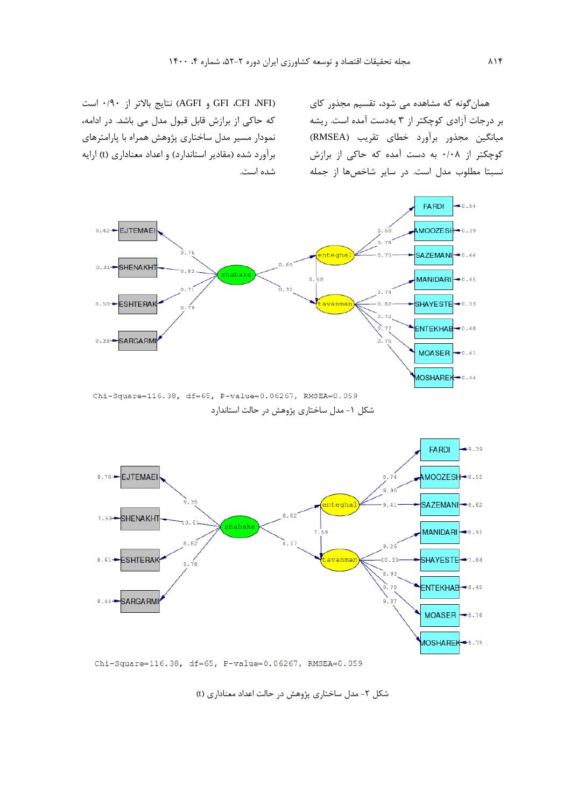همانگونه که مشاهده می شود، تقسیم مجذور کاي بر درجات آزادي کوچکتر از 3 بهدست آمده است. ريشه میانگین مجذور برآورد خطاي تقريب )RMSEA ) کوچکتر از 0/08 به دست آمده که حاکی از برازش نسبتا مطلوب مدل است. در ساير شاخصها از جمله

)NFI، CFI، GFI و AGFI )نتايج باالتر از 0/90 است که حاکی از برازش قابل قبول مدل می باشد. در ادامه، نمودار مسیر مدل ساختاري پژوهش همراه با پارامترهاي برآورد شده (مقادير استاندارد) و اعداد معناداري (t) ارايه شده است.



شکل ۱- مدل ساختاري پژوهش در حالت استاندارد



Chi-Square=116.38, df=65, P-value=0.06267, RMSEA=0.059

شکل ۲- مدل ساختاري پژوهش در حالت اعداد معناداري (t)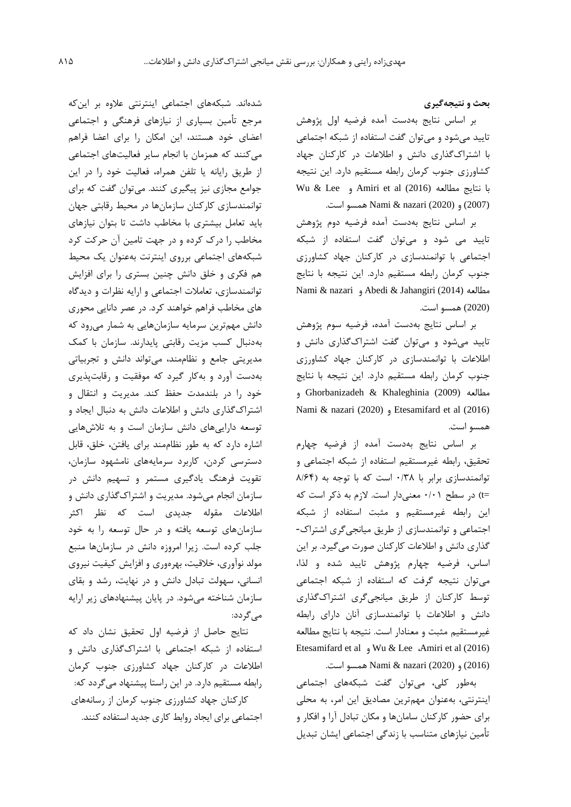**بحث و نتيجهگيري** 

بر اساس نتايج بهدست آمده فرضیه اول پژوهش تايید میشود و میتوان گفت استفاده از شبکه اجتماعی با اشتراکگذاري دانش و اطالعات در کارکنان جهاد کشاورزي جنوب کرمان رابطه مستقیم دارد. اين نتیجه Wu & Lee و Amiri et al (2016) مطالعه نتايج با (2007) و (2020) nazari & Nami همسو است.

بر اساس نتايج بهدست آمده فرضیه دوم پژوهش تايید می شود و میتوان گفت استفاده از شبکه اجتماعی با توانمندسازي در کارکنان جهاد کشاورزي جنوب کرمان رابطه مستقیم دارد. اين نتیجه با نتايج Nami & nazari و Abedi & Jahangiri (2014) مطالعه (2020) همسو است.

بر اساس نتايج بهدست آمده، فرضیه سوم پژوهش تايید میشود و میتوان گفت اشتراکگذاري دانش و اطالعات با توانمندسازي در کارکنان جهاد کشاورزي جنوب کرمان رابطه مستقیم دارد. اين نتیجه با نتايج مطالعه (2009) Khaleghinia & Ghorbanizadeh و Nami & nazari (2020) و Etesamifard et al (2016) همسو است.

بر اساس نتايج بهدست آمده از فرضیه چهارم تحقیق، رابطه غیرمستقیم استفاده از شبکه اجتماعی و توانمندسازي برابر با ۰/٣٨ است که با توجه به (٨/۶۴ =t )در سطح 0/01 معنیدار است. الزم به ذکر است که اين رابطه غیرمستقیم و مثبت استفاده از شبکه اجتماعی و توانمندسازي از طريق میانجیگري اشتراک- گذاري دانش و اطالعات کارکنان صورت میگیرد. بر اين اساس، فرضیه چهارم پژوهش تايید شده و لذا، میتوان نتیجه گرفت که استفاده از شبکه اجتماعی توسط کارکنان از طريق میانجیگري اشتراکگذاري دانش و اطالعات با توانمندسازي آنان داراي رابطه غیرمستقیم مثبت و معنادار است. نتیجه با نتايج مطالعه Etesamifard et al و Wu & Lee ،Amiri et al (2016) (2016) و (2020) nazari & Nami همسو است.

بهطور کلی، میتوان گفت شبکههاي اجتماعی اينترنتی، بهعنوان مهمترين مصاديق اين امر، به محلی براي حضور کارکنان سامانها و مکان تبادل آرا و افکار و تأمین نیازهاي متناسب با زندگی اجتماعی ايشان تبديل

شدهاند. شبکههاي اجتماعی اينترنتی عالوه بر اينکه مرجع تأمین بسیاري از نیازهاي فرهنگی و اجتماعی اعضاي خود هستند، اين امکان را براي اعضا فراهم میکنند که همزمان با انجام ساير فعالیتهاي اجتماعی از طريق رايانه يا تلفن همراه، فعالیت خود را در اين جوامع مجازي نیز پیگیري کنند. میتوان گفت که براي توانمندسازي کارکنان سازمانها در محیط رقابتی جهان بايد تعامل بیشتري با مخاطب داشت تا بتوان نیازهاي مخاطب را درک کرده و در جهت تامین آن حرکت کرد شبکههاي اجتماعی برروي اينترنت بهعنوان يك محیط هم فکري و خلق دانش چنین بستري را براي افزايش توانمندسازي، تعامالت اجتماعی و ارايه نظرات و ديدگاه هاي مخاطب فراهم خواهند کرد. در عصر دانايی محوري دانش مهمترين سرمايه سازمانهايی به شمار میرود که بهدنبال کسب مزيت رقابتی پايدارند. سازمان با کمك مديريتی جامع و نظاممند، میتواند دانش و تجربیاتی بهدست آورد و بهکار گیرد که موفقیت و رقابتپذيري خود را در بلندمدت حفظ کند. مديريت و انتقال و اشتراکگذاري دانش و اطالعات دانش به دنبال ايجاد و توسعه دارايیهاي دانش سازمان است و به تالشهايی اشاره دارد که به طور نظاممند براي يافتن، خلق، قابل دسترسی کردن، کاربرد سرمايههاي نامشهود سازمان، تقويت فرهنگ يادگیري مستمر و تسهیم دانش در سازمان انجام میشود. مديريت و اشتراکگذاري دانش و اطالعات مقوله جديدي است که نظر اکثر سازمانهاي توسعه يافته و در حال توسعه را به خود جلب کرده است. زيرا امروزه دانش در سازمانها منبع مولد نوآوري، خالقیت، بهرهوري و افزايش کیفیت نیروي انسانی، سهولت تبادل دانش و در نهايت، رشد و بقاي سازمان شناخته میشود. در پايان پیشنهادهاي زير ارايه میگردد:

نتايج حاصل از فرضیه اول تحقیق نشان داد که استفاده از شبکه اجتماعی با اشتراکگذاري دانش و اطالعات در کارکنان جهاد کشاورزي جنوب کرمان رابطه مستقیم دارد. در اين راستا پیشنهاد میگردد که: کارکنان جهاد کشاورزي جنوب کرمان از رسانههاي اجتماعی براي ايجاد روابط کاري جديد استفاده کنند.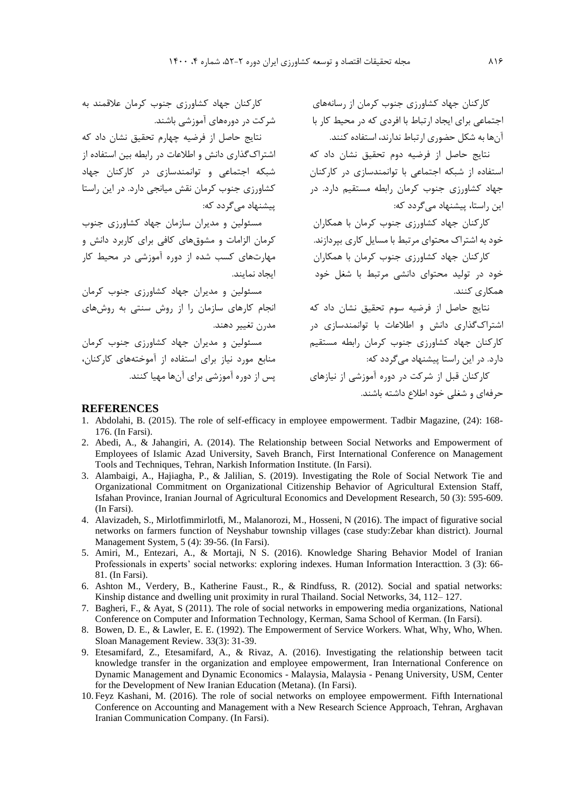کارکنان جهاد کشاورزي جنوب کرمان از رسانههاي اجتماعی براي ايجاد ارتباط با افردي که در محیط کار با آنها به شکل حضوري ارتباط ندارند، استفاده کنند.

استفاده از شبکه اجتماعی با توانمندسازي در کارکنان جهاد کشاورزي جنوب کرمان رابطه مستقیم دارد. در اين راستا، پیشنهاد میگردد که:

کارکنان جهاد کشاورزي جنوب کرمان با همکاران خود به اشتراک محتواي مرتبط با مسايل کاري بپردازند.

کارکنان جهاد کشاورزي جنوب کرمان با همکاران خود در تولید محتواي دانشی مرتبط با شغل خود همکاري کنند.

نتايج حاصل از فرضیه سوم تحقیق نشان داد که اشتراکگذاري دانش و اطالعات با توانمندسازي در کارکنان جهاد کشاورزي جنوب کرمان رابطه مستقیم دارد. در اين راستا پیشنهاد میگردد که:

کارکنان قبل از شرکت در دوره آموزشی از نیازهاي پس از دوره آموزشی براي آنها مهیا کنند. حرفهاي و شغلی خود اطالع داشته باشند.

#### **REFERENCES**

- 1. Abdolahi, B. (2015). The role of self-efficacy in employee empowerment. Tadbir Magazine, (24): 168- 176. (In Farsi).
- 2. Abedi, A., & Jahangiri, A. (2014). The Relationship between Social Networks and Empowerment of Employees of Islamic Azad University, Saveh Branch, First International Conference on Management Tools and Techniques, Tehran, Narkish Information Institute. (In Farsi).
- 3. Alambaigi, A., Hajiagha, P., & Jalilian, S. (2019). Investigating the Role of Social Network Tie and Organizational Commitment on Organizational Citizenship Behavior of Agricultural Extension Staff, Isfahan Province, Iranian Journal of Agricultural Economics and Development Research, 50 (3): 595-609. (In Farsi).
- 4. Alavizadeh, S., Mirlotfimmirlotfi, M., Malanorozi, M., Hosseni, N (2016). The impact of figurative social networks on farmers function of Neyshabur township villages (case study:Zebar khan district). Journal Management System, 5 (4): 39-56. (In Farsi).
- 5. Amiri, M., Entezari, A., & Mortaji, N S. (2016). Knowledge Sharing Behavior Model of Iranian Professionals in experts' social networks: exploring indexes. Human Information Interacttion. 3 (3): 66- 81. (In Farsi).
- 6. Ashton M., Verdery, B., Katherine Faust., R., & Rindfuss, R. (2012). Social and spatial networks: Kinship distance and dwelling unit proximity in rural Thailand. Social Networks, 34, 112– 127.
- 7. Bagheri, F., & Ayat, S (2011). The role of social networks in empowering media organizations, National Conference on Computer and Information Technology, Kerman, Sama School of Kerman. (In Farsi).
- 8. Bowen, D. E., & Lawler, E. E. (1992). The Empowerment of Service Workers. What, Why, Who, When. Sloan Management Review. 33(3): 31-39.
- 9. Etesamifard, Z., Etesamifard, A., & Rivaz, A. (2016). Investigating the relationship between tacit knowledge transfer in the organization and employee empowerment, Iran International Conference on Dynamic Management and Dynamic Economics - Malaysia, Malaysia - Penang University, USM, Center for the Development of New Iranian Education (Metana). (In Farsi).
- 10. Feyz Kashani, M. (2016). The role of social networks on employee empowerment. Fifth International Conference on Accounting and Management with a New Research Science Approach, Tehran, Arghavan Iranian Communication Company. (In Farsi).

کارکنان جهاد کشاورزي جنوب کرمان عالقمند به شرکت در دورههاي آموزشی باشند.

نتايج حاصل از فرضیه دوم تحقیق نشان داد که اشتراکگذاري دانش و اطالعات در رابطه بین استفاده از نتايج حاصل از فرضیه چهارم تحقیق نشان داد که شبکه اجتماعی و توانمندسازي در کارکنان جهاد کشاورزي جنوب کرمان نقش میانجی دارد. در اين راستا پیشنهاد میگردد که:

مسئولین و مديران سازمان جهاد کشاورزي جنوب کرمان الزامات و مشوقهاي کافی براي کاربرد دانش و مهارتهاي کسب شده از دوره آموزشی در محیط کار ايجاد نمايند.

مسئولین و مديران جهاد کشاورزي جنوب کرمان انجام کارهاي سازمان را از روش سنتی به روشهاي مدرن تغییر دهند. مسئولین و مديران جهاد کشاورزي جنوب کرمان منابع مورد نیاز براي استفاده از آموختههاي کارکنان،